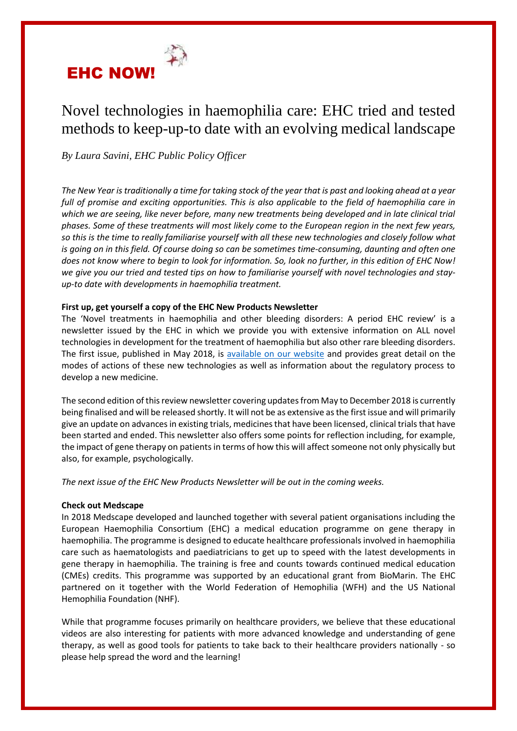

# Novel technologies in haemophilia care: EHC tried and tested methods to keep-up-to date with an evolving medical landscape

*By Laura Savini, EHC Public Policy Officer*

*The New Year is traditionally a time for taking stock of the year that is past and looking ahead at a year full of promise and exciting opportunities. This is also applicable to the field of haemophilia care in which we are seeing, like never before, many new treatments being developed and in late clinical trial phases. Some of these treatments will most likely come to the European region in the next few years, so this is the time to really familiarise yourself with all these new technologies and closely follow what is going on in this field. Of course doing so can be sometimes time-consuming, daunting and often one does not know where to begin to look for information. So, look no further, in this edition of EHC Now! we give you our tried and tested tips on how to familiarise yourself with novel technologies and stayup-to date with developments in haemophilia treatment.*

## **First up, get yourself a copy of the EHC New Products Newsletter**

The 'Novel treatments in haemophilia and other bleeding disorders: A period EHC review' is a newsletter issued by the EHC in which we provide you with extensive information on ALL novel technologies in development for the treatment of haemophilia but also other rare bleeding disorders. The first issue, published in May 2018, is [available on our website](https://www.ehc.eu/novel-treatment-products-newsletter/) and provides great detail on the modes of actions of these new technologies as well as information about the regulatory process to develop a new medicine.

The second edition of this review newsletter covering updates from May to December 2018 is currently being finalised and will be released shortly. It will not be as extensive as the first issue and will primarily give an update on advances in existing trials, medicines that have been licensed, clinical trials that have been started and ended. This newsletter also offers some points for reflection including, for example, the impact of gene therapy on patients in terms of how this will affect someone not only physically but also, for example, psychologically.

*The next issue of the EHC New Products Newsletter will be out in the coming weeks.*

## **Check out Medscape**

In 2018 Medscape developed and launched together with several patient organisations including the European Haemophilia Consortium (EHC) a medical education programme on gene therapy in haemophilia. The programme is designed to educate healthcare professionals involved in haemophilia care such as haematologists and paediatricians to get up to speed with the latest developments in gene therapy in haemophilia. The training is free and counts towards continued medical education (CMEs) credits. This programme was supported by an educational grant from BioMarin. The EHC partnered on it together with the World Federation of Hemophilia (WFH) and the US National Hemophilia Foundation (NHF).

While that programme focuses primarily on healthcare providers, we believe that these educational videos are also interesting for patients with more advanced knowledge and understanding of gene therapy, as well as good tools for patients to take back to their healthcare providers nationally - so please help spread the word and the learning!